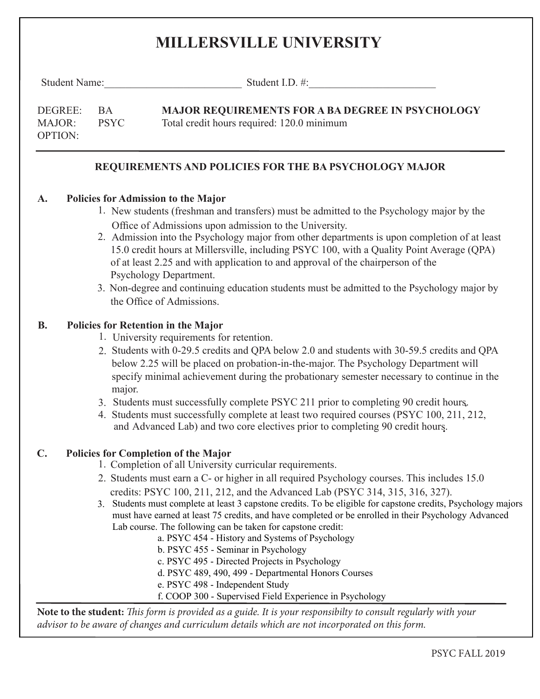# **MILLERSVILLE UNIVERSITY**

Student Name:\_\_\_\_\_\_\_\_\_\_\_\_\_\_\_\_\_\_\_\_\_\_\_\_\_\_ Student I.D. #:\_\_\_\_\_\_\_\_\_\_\_\_\_\_\_\_\_\_\_\_\_\_\_\_

| DEGREE:        | - BA  | <b>MAJOR REQUIREMENTS FOR A BA DEGREE IN PSYCHOLOGY</b> |
|----------------|-------|---------------------------------------------------------|
| <b>MAJOR:</b>  | PSYC. | Total credit hours required: 120.0 minimum              |
| <b>OPTION:</b> |       |                                                         |

#### **REQUIREMENTS AND POLICIES FOR THE BA PSYCHOLOGY MAJOR**

#### **A. Policies for Admission to the Major**

- 1. New students (freshman and transfers) must be admitted to the Psychology major by the Office of Admissions upon admission to the University.
- 2. Admission into the Psychology major from other departments is upon completion of at least 15.0 credit hours at Millersville, including PSYC 100, with a Quality Point Average (QPA) of at least 2.25 and with application to and approval of the chairperson of the Psychology Department.
- 3. Non-degree and continuing education students must be admitted to the Psychology major by the Office of Admissions.

#### **B. Policies for Retention in the Major**

- 1. University requirements for retention.
- 2. Students with 0-29.5 credits and QPA below 2.0 and students with 30-59.5 credits and QPA below 2.25 will be placed on probation-in-the-major. The Psychology Department will specify minimal achievement during the probationary semester necessary to continue in the major.
- 3. Students must successfully complete PSYC 211 prior to completing 90 credit hours.
- 4. Students must successfully complete at least two required courses (PSYC 100, 211, 212, and Advanced Lab) and two core electives prior to completing 90 credit hours.

### **C. Policies for Completion of the Major**

- 1. Completion of all University curricular requirements.
- 2. Students must earn a C- or higher in all required Psychology courses. This includes 15.0 credits: PSYC 100, 211, 212, and the Advanced Lab (PSYC 314, 315, 316, 327).
- 3. Students must complete at least 3 capstone credits. To be eligible for capstone credits, Psychology majors must have earned at least 75 credits, and have completed or be enrolled in their Psychology Advanced Lab course. The following can be taken for capstone credit:
	- a. PSYC 454 History and Systems of Psychology
	- b. PSYC 455 Seminar in Psychology
	- c. PSYC 495 Directed Projects in Psychology
	- d. PSYC 489, 490, 499 Departmental Honors Courses
	- e. PSYC 498 Independent Study
	- f. COOP 300 Supervised Field Experience in Psychology

**Note to the student:** *This form is provided as a guide. It is your responsibilty to consult regularly with your advisor to be aware of changes and curriculum details which are not incorporated on this form.*